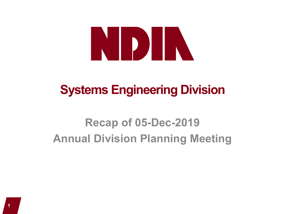# NDIN

# **Systems Engineering Division**

# **Recap of 05-Dec-2019 Annual Division Planning Meeting**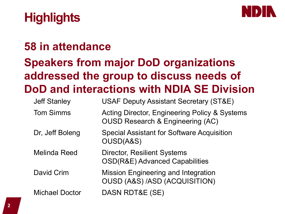

# **Highlights**

# **58 in attendance Speakers from major DoD organizations addressed the group to discuss needs of DoD and interactions with NDIA SE Division**

| <b>Jeff Stanley</b>   | <b>USAF Deputy Assistant Secretary (ST&amp;E)</b>                                            |
|-----------------------|----------------------------------------------------------------------------------------------|
| <b>Tom Simms</b>      | Acting Director, Engineering Policy & Systems<br><b>OUSD Research &amp; Engineering (AC)</b> |
| Dr, Jeff Boleng       | <b>Special Assistant for Software Acquisition</b><br>OUSD(A&S)                               |
| <b>Melinda Reed</b>   | <b>Director, Resilient Systems</b><br><b>OSD(R&amp;E) Advanced Capabilities</b>              |
| David Crim            | <b>Mission Engineering and Integration</b><br><b>OUSD (A&amp;S) /ASD (ACQUISITION)</b>       |
| <b>Michael Doctor</b> | DASN RDT&E (SE)                                                                              |
|                       |                                                                                              |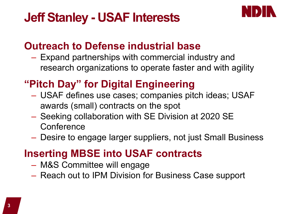# **Jeff Stanley - USAF Interests**



#### **Outreach to Defense industrial base**

- Expand partnerships with commercial industry and research organizations to operate faster and with agility
- **"Pitch Day" for Digital Engineering**
	- USAF defines use cases; companies pitch ideas; USAF awards (small) contracts on the spot
	- Seeking collaboration with SE Division at 2020 SE **Conference**
	- Desire to engage larger suppliers, not just Small Business

#### **Inserting MBSE into USAF contracts**

- M&S Committee will engage
- Reach out to IPM Division for Business Case support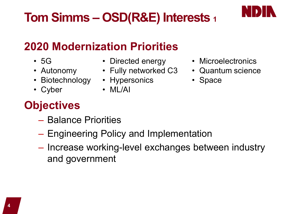# **Tom Simms – OSD(R&E) Interests 1**

# **2020 Modernization Priorities**

- 5G
- Autonomy
- Biotechnology Hypersonics
- Cyber
- Directed energy
- Fully networked C3
	-
	- ML/AI
- Microelectronics
- Quantum science
- Space

## **Objectives**

- Balance Priorities
- Engineering Policy and Implementation
- Increase working-level exchanges between industry and government

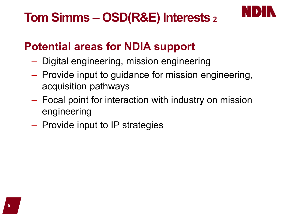# **Tom Simms – OSD(R&E) Interests 2**



## **Potential areas for NDIA support**

- Digital engineering, mission engineering
- Provide input to guidance for mission engineering, acquisition pathways
- Focal point for interaction with industry on mission engineering
- Provide input to IP strategies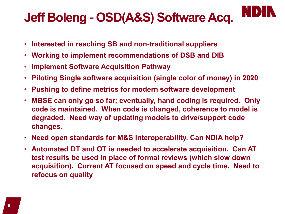# **Jeff Boleng - OSD(A&S) Software Acq.**

- **Interested in reaching SB and non-traditional suppliers**
- **Working to implement recommendations of DSB and DIB**
- **Implement Software Acquisition Pathway**
- **Piloting Single software acquisition (single color of money) in 2020**
- **Pushing to define metrics for modern software development**
- **MBSE can only go so far; eventually, hand coding is required. Only code is maintained. When code is changed, coherence to model is degraded. Need way of updating models to drive/support code changes.**
- **Need open standards for M&S interoperability. Can NDIA help?**
- **Automated DT and OT is needed to accelerate acquisition. Can AT test results be used in place of formal reviews (which slow down acquisition). Current AT focused on speed and cycle time. Need to refocus on quality**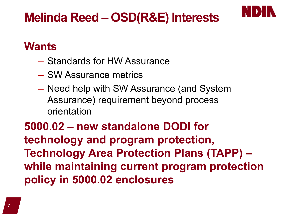# **Melinda Reed – OSD(R&E) Interests**



#### **Wants**

- Standards for HW Assurance
- SW Assurance metrics
- Need help with SW Assurance (and System Assurance) requirement beyond process orientation

**5000.02 – new standalone DODI for technology and program protection, Technology Area Protection Plans (TAPP) – while maintaining current program protection policy in 5000.02 enclosures**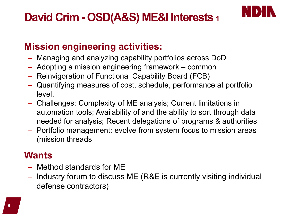## **David Crim - OSD(A&S) ME&I Interests 1**



#### **Mission engineering activities:**

- Managing and analyzing capability portfolios across DoD
- Adopting a mission engineering framework common
- Reinvigoration of Functional Capability Board (FCB)
- Quantifying measures of cost, schedule, performance at portfolio level.
- Challenges: Complexity of ME analysis; Current limitations in automation tools; Availability of and the ability to sort through data needed for analysis; Recent delegations of programs & authorities
- Portfolio management: evolve from system focus to mission areas (mission threads

#### **Wants**

- Method standards for ME
- Industry forum to discuss ME (R&E is currently visiting individual defense contractors)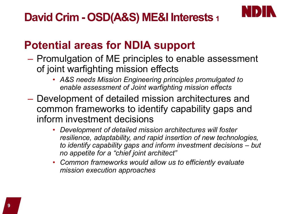## **David Crim - OSD(A&S) ME&I Interests 1**



### **Potential areas for NDIA support**

- Promulgation of ME principles to enable assessment of joint warfighting mission effects
	- *A&S needs Mission Engineering principles promulgated to enable assessment of Joint warfighting mission effects*
- Development of detailed mission architectures and common frameworks to identify capability gaps and inform investment decisions
	- *Development of detailed mission architectures will foster resilience, adaptability, and rapid insertion of new technologies, to identify capability gaps and inform investment decisions – but no appetite for a "chief joint architect"*
	- *Common frameworks would allow us to efficiently evaluate mission execution approaches*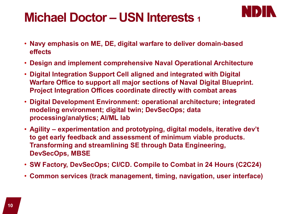# **Michael Doctor – USN Interests 1**



- **Navy emphasis on ME, DE, digital warfare to deliver domain-based effects**
- **Design and implement comprehensive Naval Operational Architecture**
- **Digital Integration Support Cell aligned and integrated with Digital Warfare Office to support all major sections of Naval Digital Blueprint. Project Integration Offices coordinate directly with combat areas**
- **Digital Development Environment: operational architecture; integrated modeling environment; digital twin; DevSecOps; data processing/analytics; AI/ML lab**
- **Agility – experimentation and prototyping, digital models, iterative dev't to get early feedback and assessment of minimum viable products. Transforming and streamlining SE through Data Engineering, DevSecOps, MBSE**
- **SW Factory, DevSecOps; CI/CD. Compile to Combat in 24 Hours (C2C24)**
- **Common services (track management, timing, navigation, user interface)**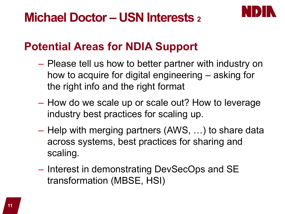

### **Potential Areas for NDIA Support**

- Please tell us how to better partner with industry on how to acquire for digital engineering – asking for the right info and the right format
- How do we scale up or scale out? How to leverage industry best practices for scaling up.
- Help with merging partners (AWS, …) to share data across systems, best practices for sharing and scaling.
- Interest in demonstrating DevSecOps and SE transformation (MBSE, HSI)